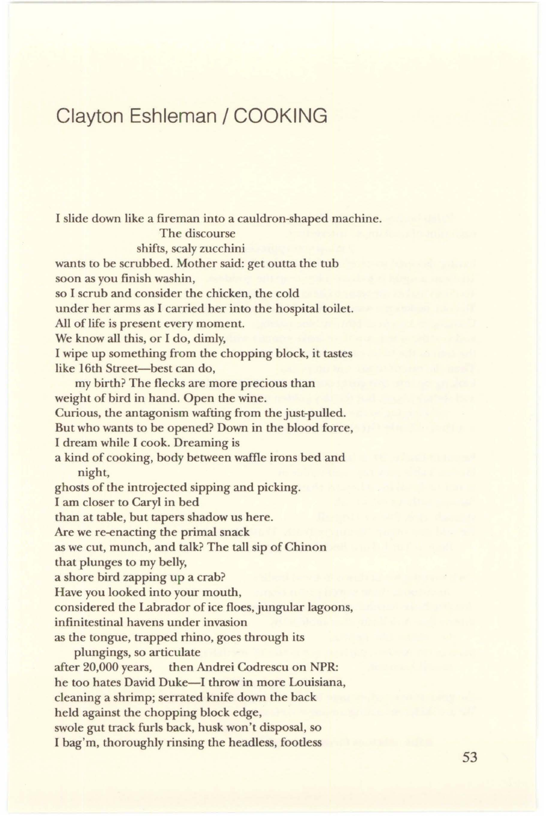## **Clayton Eshleman / COOKING**

I slide down like a fireman into a cauldron-shaped machine. The discourse shifts, scaly zucchini wants to be scrubbed. Mother said: get outta the tub soon as you finish washin, so I scrub and consider the chicken, the cold under her arms as I carried her into the hospital toilet. All of life is present every moment. We know all this, or I do, dimly, I wipe up something from the chopping block, it tastes like 16th Street-best can do, my birth? The flecks are more precious than weight of bird in hand. Open the wine. Curious, the antagonism wafting from the just-pulled. But who wants to be opened? Down in the blood force, I dream while I cook. Dreaming is a kind of cooking, body between waffle irons bed and night, ghosts of the introjected sipping and picking. I am closer to Caryl in bed than at table, but tapers shadow us here. Are we re-enacting the primal snack as we cut, munch, and talk? The tall sip of Chinon that plunges to my belly, a shore bird zapping up a crab? Have you looked into your mouth, considered the Labrador of ice floes, jungular lagoons, infinitestinal havens under invasion as the tongue, trapped rhino, goes through its plungings, so articulate after 20,000 years, then Andrei Codrescu on **NPR:**  he too hates David Duke—I throw in more Louisiana, cleaning a shrimp; serrated knife down the back held against the chopping block edge, swole gut track furls back, husk won't disposal, so I bag'm, thoroughly rinsing the headless, footless